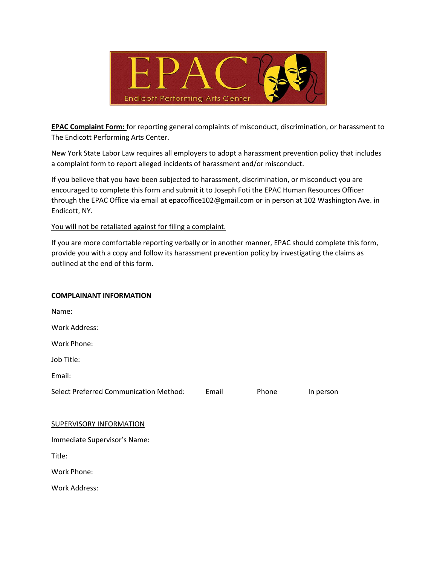

**EPAC Complaint Form:** for reporting general complaints of misconduct, discrimination, or harassment to The Endicott Performing Arts Center.

New York State Labor Law requires all employers to adopt a harassment prevention policy that includes a complaint form to report alleged incidents of harassment and/or misconduct.

If you believe that you have been subjected to harassment, discrimination, or misconduct you are encouraged to complete this form and submit it to Joseph Foti the EPAC Human Resources Officer through the EPAC Office via email at epacoffice102@gmail.com or in person at 102 Washington Ave. in Endicott, NY.

You will not be retaliated against for filing a complaint.

If you are more comfortable reporting verbally or in another manner, EPAC should complete this form, provide you with a copy and follow its harassment prevention policy by investigating the claims as outlined at the end of this form.

#### **COMPLAINANT INFORMATION**

| Name:                                  |       |       |           |
|----------------------------------------|-------|-------|-----------|
| <b>Work Address:</b>                   |       |       |           |
| Work Phone:                            |       |       |           |
| Job Title:                             |       |       |           |
| Email:                                 |       |       |           |
| Select Preferred Communication Method: | Email | Phone | In person |
|                                        |       |       |           |
| <b>SUPERVISORY INFORMATION</b>         |       |       |           |
| Immediate Supervisor's Name:           |       |       |           |
| Title:                                 |       |       |           |
| Work Phone:                            |       |       |           |
| Work Address:                          |       |       |           |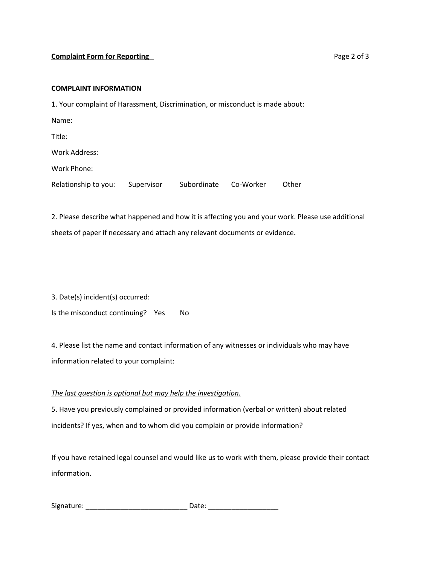### **Complaint Form for Reporting 2.1 Complaint Form for Reporting 2.1 Complaint Form for Reporting 2.1 Complaint Form**  $P$  **and**  $P$  **and**  $P$  **and**  $P$  **and**  $P$  **and**  $P$  **and**  $P$  **and**  $P$  **and**  $P$  **and**  $P$  **and**  $P$  **and**  $P$  **and**  $P$  **and**  $P$

#### **COMPLAINT INFORMATION**

1. Your complaint of Harassment, Discrimination, or misconduct is made about:

Name: Title: Work Address: Work Phone:

Relationship to you: Supervisor Subordinate Co-Worker Other

2. Please describe what happened and how it is affecting you and your work. Please use additional sheets of paper if necessary and attach any relevant documents or evidence.

3. Date(s) incident(s) occurred:

Is the misconduct continuing? Yes No

4. Please list the name and contact information of any witnesses or individuals who may have information related to your complaint:

# *The last question is optional but may help the investigation.*

5. Have you previously complained or provided information (verbal or written) about related incidents? If yes, when and to whom did you complain or provide information?

If you have retained legal counsel and would like us to work with them, please provide their contact information.

| Signature: | Date: |
|------------|-------|
|------------|-------|